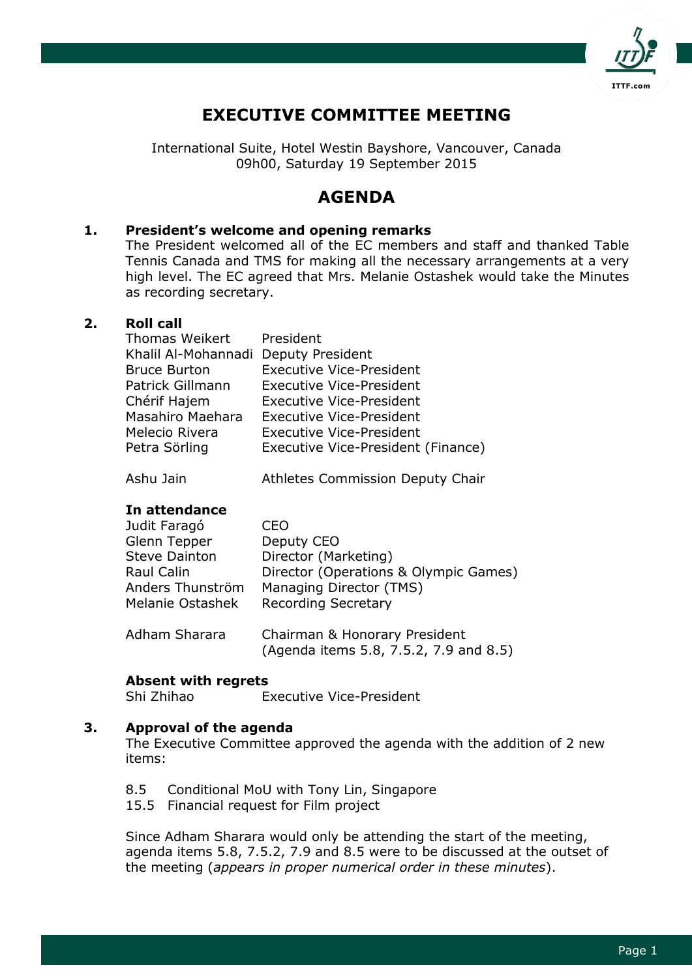

# **EXECUTIVE COMMITTEE MEETING**

International Suite, Hotel Westin Bayshore, Vancouver, Canada 09h00, Saturday 19 September 2015

# **AGENDA**

### **1. President's welcome and opening remarks**

The President welcomed all of the EC members and staff and thanked Table Tennis Canada and TMS for making all the necessary arrangements at a very high level. The EC agreed that Mrs. Melanie Ostashek would take the Minutes as recording secretary.

### **2. Roll call**

| Thomas Weikert                       | President                          |
|--------------------------------------|------------------------------------|
| Khalil Al-Mohannadi Deputy President |                                    |
| <b>Bruce Burton</b>                  | <b>Executive Vice-President</b>    |
| Patrick Gillmann                     | <b>Executive Vice-President</b>    |
| Chérif Hajem                         | <b>Executive Vice-President</b>    |
| Masahiro Maehara                     | <b>Executive Vice-President</b>    |
| Melecio Rivera                       | <b>Executive Vice-President</b>    |
| Petra Sörling                        | Executive Vice-President (Finance) |

#### Ashu Jain Athletes Commission Deputy Chair

#### **In attendance**

| Judit Faragó         | IΕO                                                                     |
|----------------------|-------------------------------------------------------------------------|
| Glenn Tepper         | Deputy CEO                                                              |
| <b>Steve Dainton</b> | Director (Marketing)                                                    |
| <b>Raul Calin</b>    | Director (Operations & Olympic Games)                                   |
| Anders Thunström     | Managing Director (TMS)                                                 |
| Melanie Ostashek     | <b>Recording Secretary</b>                                              |
| Adham Sharara        | Chairman & Honorary President<br>(Agenda items 5.8, 7.5.2, 7.9 and 8.5) |

#### **Absent with regrets**

Shi Zhihao Executive Vice-President

# **3. Approval of the agenda**

The Executive Committee approved the agenda with the addition of 2 new items:

- 8.5 Conditional MoU with Tony Lin, Singapore
- 15.5 Financial request for Film project

Since Adham Sharara would only be attending the start of the meeting, agenda items 5.8, 7.5.2, 7.9 and 8.5 were to be discussed at the outset of the meeting (*appears in proper numerical order in these minutes*).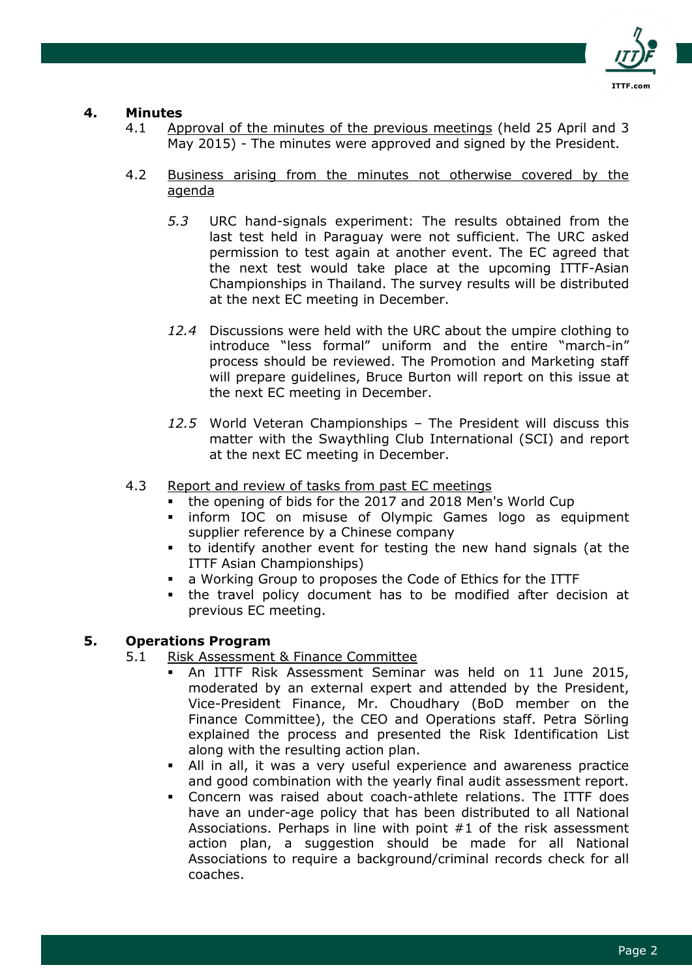

# **4. Minutes**

- 4.1 Approval of the minutes of the previous meetings (held 25 April and 3 May 2015) - The minutes were approved and signed by the President.
- 4.2 Business arising from the minutes not otherwise covered by the agenda
	- *5.3* URC hand-signals experiment: The results obtained from the last test held in Paraguay were not sufficient. The URC asked permission to test again at another event. The EC agreed that the next test would take place at the upcoming ITTF-Asian Championships in Thailand. The survey results will be distributed at the next EC meeting in December.
	- *12.4* Discussions were held with the URC about the umpire clothing to introduce "less formal" uniform and the entire "march-in" process should be reviewed. The Promotion and Marketing staff will prepare guidelines, Bruce Burton will report on this issue at the next EC meeting in December.
	- *12.5* World Veteran Championships The President will discuss this matter with the Swaythling Club International (SCI) and report at the next EC meeting in December.
- 4.3 Report and review of tasks from past EC meetings
	- the opening of bids for the 2017 and 2018 Men's World Cup
	- **Inform IOC on misuse of Olympic Games logo as equipment** supplier reference by a Chinese company
	- to identify another event for testing the new hand signals (at the ITTF Asian Championships)
	- a Working Group to proposes the Code of Ethics for the ITTF
	- the travel policy document has to be modified after decision at previous EC meeting.

# **5. Operations Program**

- 5.1 Risk Assessment & Finance Committee
	- An ITTF Risk Assessment Seminar was held on 11 June 2015, moderated by an external expert and attended by the President, Vice-President Finance, Mr. Choudhary (BoD member on the Finance Committee), the CEO and Operations staff. Petra Sörling explained the process and presented the Risk Identification List along with the resulting action plan.
	- All in all, it was a very useful experience and awareness practice and good combination with the yearly final audit assessment report.
	- Concern was raised about coach-athlete relations. The ITTF does have an under-age policy that has been distributed to all National Associations. Perhaps in line with point #1 of the risk assessment action plan, a suggestion should be made for all National Associations to require a background/criminal records check for all coaches.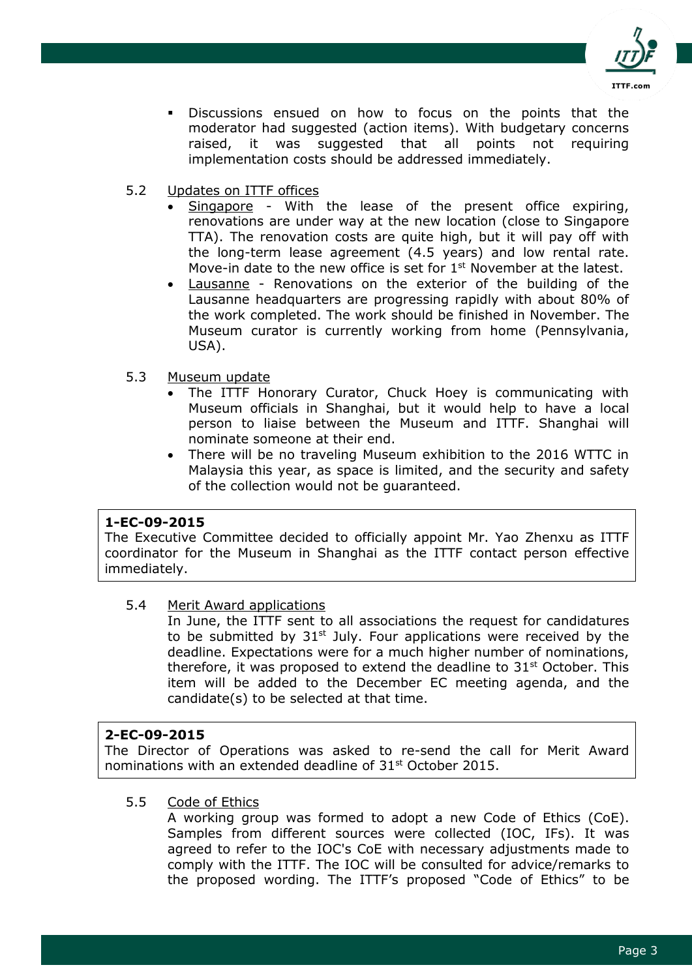

- Discussions ensued on how to focus on the points that the moderator had suggested (action items). With budgetary concerns raised, it was suggested that all points not requiring implementation costs should be addressed immediately.
- 5.2 Updates on ITTF offices
	- Singapore With the lease of the present office expiring, renovations are under way at the new location (close to Singapore TTA). The renovation costs are quite high, but it will pay off with the long-term lease agreement (4.5 years) and low rental rate. Move-in date to the new office is set for  $1<sup>st</sup>$  November at the latest.
	- Lausanne Renovations on the exterior of the building of the Lausanne headquarters are progressing rapidly with about 80% of the work completed. The work should be finished in November. The Museum curator is currently working from home (Pennsylvania, USA).
- 5.3 Museum update
	- The ITTF Honorary Curator, Chuck Hoey is communicating with Museum officials in Shanghai, but it would help to have a local person to liaise between the Museum and ITTF. Shanghai will nominate someone at their end.
	- There will be no traveling Museum exhibition to the 2016 WTTC in Malaysia this year, as space is limited, and the security and safety of the collection would not be guaranteed.

#### **1-EC-09-2015**

The Executive Committee decided to officially appoint Mr. Yao Zhenxu as ITTF coordinator for the Museum in Shanghai as the ITTF contact person effective immediately.

#### 5.4 Merit Award applications

In June, the ITTF sent to all associations the request for candidatures to be submitted by  $31<sup>st</sup>$  July. Four applications were received by the deadline. Expectations were for a much higher number of nominations, therefore, it was proposed to extend the deadline to  $31<sup>st</sup>$  October. This item will be added to the December EC meeting agenda, and the candidate(s) to be selected at that time.

#### **2-EC-09-2015**

The Director of Operations was asked to re-send the call for Merit Award nominations with an extended deadline of 31st October 2015.

#### 5.5 Code of Ethics

A working group was formed to adopt a new Code of Ethics (CoE). Samples from different sources were collected (IOC, IFs). It was agreed to refer to the IOC's CoE with necessary adjustments made to comply with the ITTF. The IOC will be consulted for advice/remarks to the proposed wording. The ITTF's proposed "Code of Ethics" to be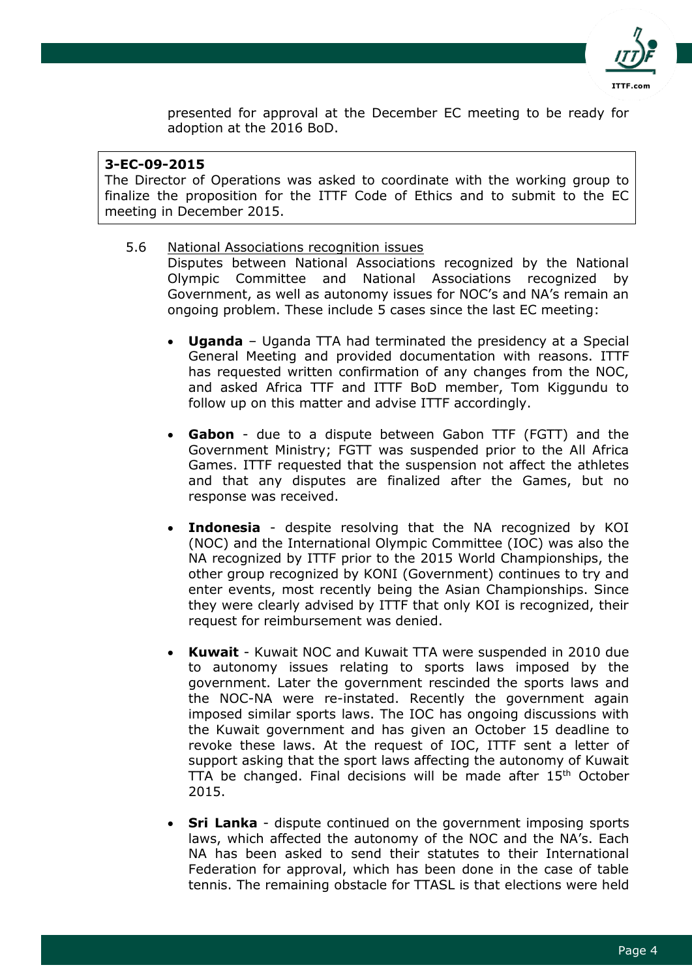

presented for approval at the December EC meeting to be ready for adoption at the 2016 BoD.

### **3-EC-09-2015**

The Director of Operations was asked to coordinate with the working group to finalize the proposition for the ITTF Code of Ethics and to submit to the EC meeting in December 2015.

- 5.6 National Associations recognition issues Disputes between National Associations recognized by the National Olympic Committee and National Associations recognized by Government, as well as autonomy issues for NOC's and NA's remain an ongoing problem. These include 5 cases since the last EC meeting:
	- **Uganda** Uganda TTA had terminated the presidency at a Special General Meeting and provided documentation with reasons. ITTF has requested written confirmation of any changes from the NOC, and asked Africa TTF and ITTF BoD member, Tom Kiggundu to follow up on this matter and advise ITTF accordingly.
	- **Gabon** due to a dispute between Gabon TTF (FGTT) and the Government Ministry; FGTT was suspended prior to the All Africa Games. ITTF requested that the suspension not affect the athletes and that any disputes are finalized after the Games, but no response was received.
	- **Indonesia** despite resolving that the NA recognized by KOI (NOC) and the International Olympic Committee (IOC) was also the NA recognized by ITTF prior to the 2015 World Championships, the other group recognized by KONI (Government) continues to try and enter events, most recently being the Asian Championships. Since they were clearly advised by ITTF that only KOI is recognized, their request for reimbursement was denied.
	- **Kuwait** Kuwait NOC and Kuwait TTA were suspended in 2010 due to autonomy issues relating to sports laws imposed by the government. Later the government rescinded the sports laws and the NOC-NA were re-instated. Recently the government again imposed similar sports laws. The IOC has ongoing discussions with the Kuwait government and has given an October 15 deadline to revoke these laws. At the request of IOC, ITTF sent a letter of support asking that the sport laws affecting the autonomy of Kuwait TTA be changed. Final decisions will be made after  $15<sup>th</sup>$  October 2015.
	- **Sri Lanka** dispute continued on the government imposing sports laws, which affected the autonomy of the NOC and the NA's. Each NA has been asked to send their statutes to their International Federation for approval, which has been done in the case of table tennis. The remaining obstacle for TTASL is that elections were held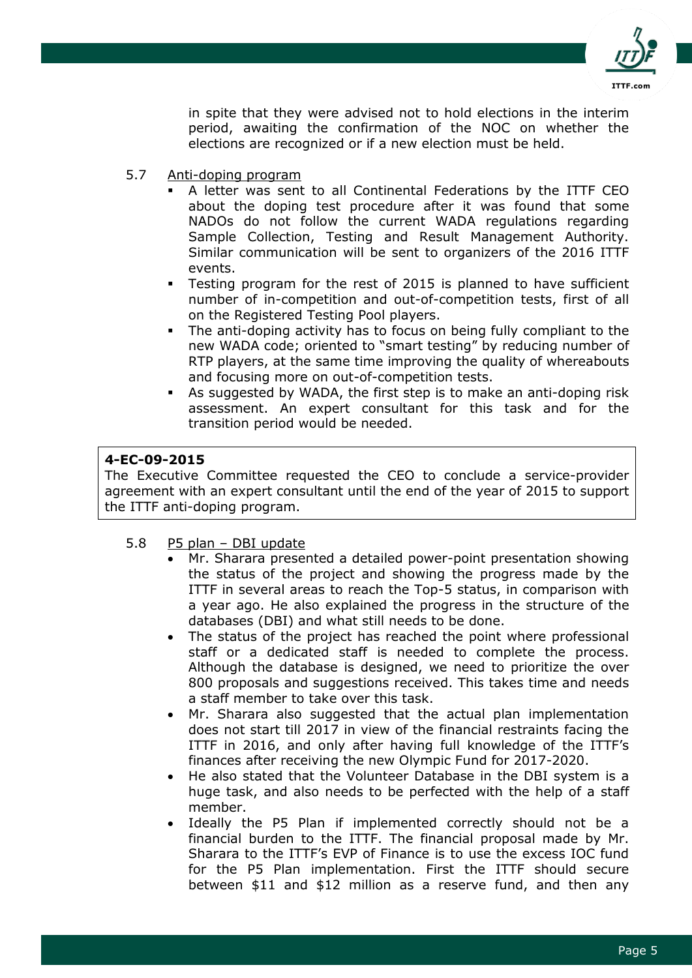

in spite that they were advised not to hold elections in the interim period, awaiting the confirmation of the NOC on whether the elections are recognized or if a new election must be held.

- 5.7 Anti-doping program
	- A letter was sent to all Continental Federations by the ITTF CEO about the doping test procedure after it was found that some NADOs do not follow the current WADA regulations regarding Sample Collection, Testing and Result Management Authority. Similar communication will be sent to organizers of the 2016 ITTF events.
	- Testing program for the rest of 2015 is planned to have sufficient number of in-competition and out-of-competition tests, first of all on the Registered Testing Pool players.
	- The anti-doping activity has to focus on being fully compliant to the new WADA code; oriented to "smart testing" by reducing number of RTP players, at the same time improving the quality of whereabouts and focusing more on out-of-competition tests.
	- As suggested by WADA, the first step is to make an anti-doping risk assessment. An expert consultant for this task and for the transition period would be needed.

# **4-EC-09-2015**

The Executive Committee requested the CEO to conclude a service-provider agreement with an expert consultant until the end of the year of 2015 to support the ITTF anti-doping program.

- 5.8 P5 plan DBI update
	- Mr. Sharara presented a detailed power-point presentation showing the status of the project and showing the progress made by the ITTF in several areas to reach the Top-5 status, in comparison with a year ago. He also explained the progress in the structure of the databases (DBI) and what still needs to be done.
	- The status of the project has reached the point where professional staff or a dedicated staff is needed to complete the process. Although the database is designed, we need to prioritize the over 800 proposals and suggestions received. This takes time and needs a staff member to take over this task.
	- Mr. Sharara also suggested that the actual plan implementation does not start till 2017 in view of the financial restraints facing the ITTF in 2016, and only after having full knowledge of the ITTF's finances after receiving the new Olympic Fund for 2017-2020.
	- He also stated that the Volunteer Database in the DBI system is a huge task, and also needs to be perfected with the help of a staff member.
	- Ideally the P5 Plan if implemented correctly should not be a financial burden to the ITTF. The financial proposal made by Mr. Sharara to the ITTF's EVP of Finance is to use the excess IOC fund for the P5 Plan implementation. First the ITTF should secure between \$11 and \$12 million as a reserve fund, and then any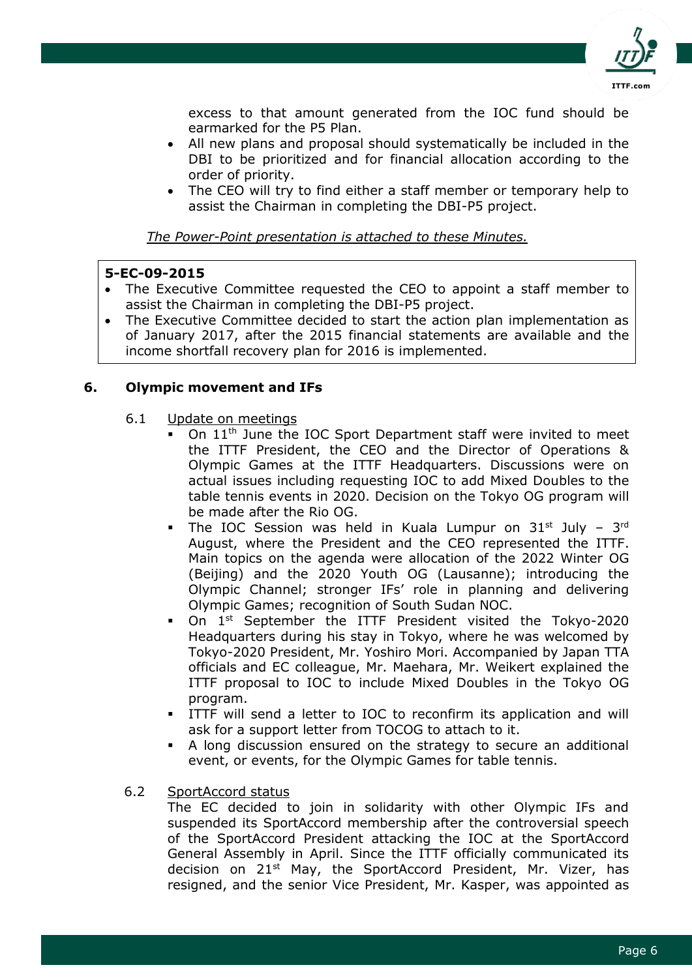

excess to that amount generated from the IOC fund should be earmarked for the P5 Plan.

- All new plans and proposal should systematically be included in the DBI to be prioritized and for financial allocation according to the order of priority.
- The CEO will try to find either a staff member or temporary help to assist the Chairman in completing the DBI-P5 project.

*The Power-Point presentation is attached to these Minutes.*

# **5-EC-09-2015**

- The Executive Committee requested the CEO to appoint a staff member to assist the Chairman in completing the DBI-P5 project.
- The Executive Committee decided to start the action plan implementation as of January 2017, after the 2015 financial statements are available and the income shortfall recovery plan for 2016 is implemented.

# **6. Olympic movement and IFs**

- 6.1 Update on meetings
	- On 11th June the IOC Sport Department staff were invited to meet the ITTF President, the CEO and the Director of Operations & Olympic Games at the ITTF Headquarters. Discussions were on actual issues including requesting IOC to add Mixed Doubles to the table tennis events in 2020. Decision on the Tokyo OG program will be made after the Rio OG.
	- The IOC Session was held in Kuala Lumpur on  $31^{st}$  July  $3^{rd}$ August, where the President and the CEO represented the ITTF. Main topics on the agenda were allocation of the 2022 Winter OG (Beijing) and the 2020 Youth OG (Lausanne); introducing the Olympic Channel; stronger IFs' role in planning and delivering Olympic Games; recognition of South Sudan NOC.
	- On 1st September the ITTF President visited the Tokyo-2020 Headquarters during his stay in Tokyo, where he was welcomed by Tokyo-2020 President, Mr. Yoshiro Mori. Accompanied by Japan TTA officials and EC colleague, Mr. Maehara, Mr. Weikert explained the ITTF proposal to IOC to include Mixed Doubles in the Tokyo OG program.
	- ITTF will send a letter to IOC to reconfirm its application and will ask for a support letter from TOCOG to attach to it.
	- A long discussion ensured on the strategy to secure an additional event, or events, for the Olympic Games for table tennis.
- 6.2 SportAccord status

The EC decided to join in solidarity with other Olympic IFs and suspended its SportAccord membership after the controversial speech of the SportAccord President attacking the IOC at the SportAccord General Assembly in April. Since the ITTF officially communicated its decision on 21<sup>st</sup> May, the SportAccord President, Mr. Vizer, has resigned, and the senior Vice President, Mr. Kasper, was appointed as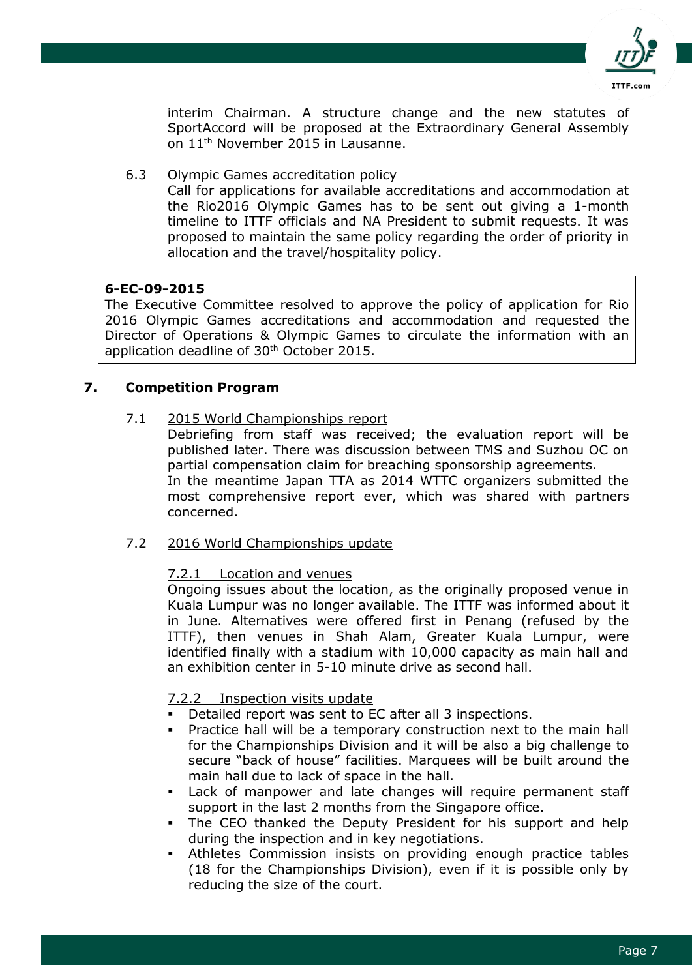

interim Chairman. A structure change and the new statutes of SportAccord will be proposed at the Extraordinary General Assembly on 11th November 2015 in Lausanne.

6.3 Olympic Games accreditation policy

Call for applications for available accreditations and accommodation at the Rio2016 Olympic Games has to be sent out giving a 1-month timeline to ITTF officials and NA President to submit requests. It was proposed to maintain the same policy regarding the order of priority in allocation and the travel/hospitality policy.

### **6-EC-09-2015**

The Executive Committee resolved to approve the policy of application for Rio 2016 Olympic Games accreditations and accommodation and requested the Director of Operations & Olympic Games to circulate the information with an application deadline of 30<sup>th</sup> October 2015.

# **7. Competition Program**

### 7.1 2015 World Championships report

Debriefing from staff was received; the evaluation report will be published later. There was discussion between TMS and Suzhou OC on partial compensation claim for breaching sponsorship agreements. In the meantime Japan TTA as 2014 WTTC organizers submitted the most comprehensive report ever, which was shared with partners concerned.

#### 7.2 2016 World Championships update

# 7.2.1 Location and venues

Ongoing issues about the location, as the originally proposed venue in Kuala Lumpur was no longer available. The ITTF was informed about it in June. Alternatives were offered first in Penang (refused by the ITTF), then venues in Shah Alam, Greater Kuala Lumpur, were identified finally with a stadium with 10,000 capacity as main hall and an exhibition center in 5-10 minute drive as second hall.

# 7.2.2 Inspection visits update

- Detailed report was sent to EC after all 3 inspections.
- **Practice hall will be a temporary construction next to the main hall** for the Championships Division and it will be also a big challenge to secure "back of house" facilities. Marquees will be built around the main hall due to lack of space in the hall.
- Lack of manpower and late changes will require permanent staff support in the last 2 months from the Singapore office.
- The CEO thanked the Deputy President for his support and help during the inspection and in key negotiations.
- Athletes Commission insists on providing enough practice tables (18 for the Championships Division), even if it is possible only by reducing the size of the court.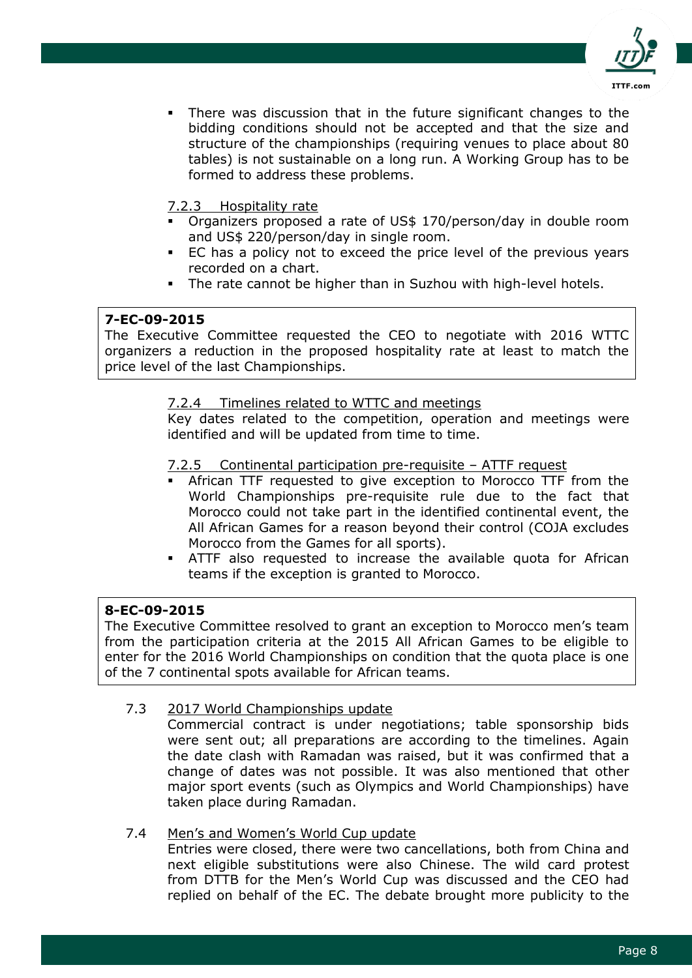

 There was discussion that in the future significant changes to the bidding conditions should not be accepted and that the size and structure of the championships (requiring venues to place about 80 tables) is not sustainable on a long run. A Working Group has to be formed to address these problems.

# 7.2.3 Hospitality rate

- Organizers proposed a rate of US\$ 170/person/day in double room and US\$ 220/person/day in single room.
- EC has a policy not to exceed the price level of the previous years recorded on a chart.
- The rate cannot be higher than in Suzhou with high-level hotels.

# **7-EC-09-2015**

The Executive Committee requested the CEO to negotiate with 2016 WTTC organizers a reduction in the proposed hospitality rate at least to match the price level of the last Championships.

# 7.2.4 Timelines related to WTTC and meetings

Key dates related to the competition, operation and meetings were identified and will be updated from time to time.

### 7.2.5 Continental participation pre-requisite – ATTF request

- African TTF requested to give exception to Morocco TTF from the World Championships pre-requisite rule due to the fact that Morocco could not take part in the identified continental event, the All African Games for a reason beyond their control (COJA excludes Morocco from the Games for all sports).
- ATTF also requested to increase the available quota for African teams if the exception is granted to Morocco.

#### **8-EC-09-2015**

The Executive Committee resolved to grant an exception to Morocco men's team from the participation criteria at the 2015 All African Games to be eligible to enter for the 2016 World Championships on condition that the quota place is one of the 7 continental spots available for African teams.

# 7.3 2017 World Championships update

Commercial contract is under negotiations; table sponsorship bids were sent out; all preparations are according to the timelines. Again the date clash with Ramadan was raised, but it was confirmed that a change of dates was not possible. It was also mentioned that other major sport events (such as Olympics and World Championships) have taken place during Ramadan.

#### 7.4 Men's and Women's World Cup update

Entries were closed, there were two cancellations, both from China and next eligible substitutions were also Chinese. The wild card protest from DTTB for the Men's World Cup was discussed and the CEO had replied on behalf of the EC. The debate brought more publicity to the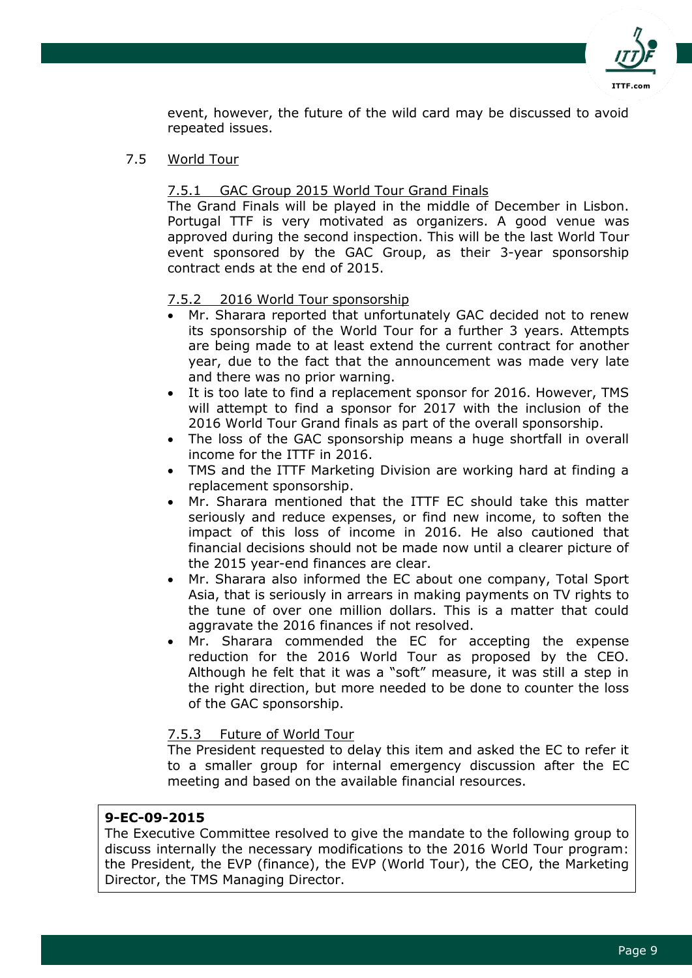

event, however, the future of the wild card may be discussed to avoid repeated issues.

### 7.5 World Tour

### 7.5.1 GAC Group 2015 World Tour Grand Finals

The Grand Finals will be played in the middle of December in Lisbon. Portugal TTF is very motivated as organizers. A good venue was approved during the second inspection. This will be the last World Tour event sponsored by the GAC Group, as their 3-year sponsorship contract ends at the end of 2015.

### 7.5.2 2016 World Tour sponsorship

- Mr. Sharara reported that unfortunately GAC decided not to renew its sponsorship of the World Tour for a further 3 years. Attempts are being made to at least extend the current contract for another year, due to the fact that the announcement was made very late and there was no prior warning.
- It is too late to find a replacement sponsor for 2016. However, TMS will attempt to find a sponsor for 2017 with the inclusion of the 2016 World Tour Grand finals as part of the overall sponsorship.
- The loss of the GAC sponsorship means a huge shortfall in overall income for the ITTF in 2016.
- TMS and the ITTF Marketing Division are working hard at finding a replacement sponsorship.
- Mr. Sharara mentioned that the ITTF EC should take this matter seriously and reduce expenses, or find new income, to soften the impact of this loss of income in 2016. He also cautioned that financial decisions should not be made now until a clearer picture of the 2015 year-end finances are clear.
- Mr. Sharara also informed the EC about one company, Total Sport Asia, that is seriously in arrears in making payments on TV rights to the tune of over one million dollars. This is a matter that could aggravate the 2016 finances if not resolved.
- Mr. Sharara commended the EC for accepting the expense reduction for the 2016 World Tour as proposed by the CEO. Although he felt that it was a "soft" measure, it was still a step in the right direction, but more needed to be done to counter the loss of the GAC sponsorship.

#### 7.5.3 Future of World Tour

The President requested to delay this item and asked the EC to refer it to a smaller group for internal emergency discussion after the EC meeting and based on the available financial resources.

#### **9-EC-09-2015**

The Executive Committee resolved to give the mandate to the following group to discuss internally the necessary modifications to the 2016 World Tour program: the President, the EVP (finance), the EVP (World Tour), the CEO, the Marketing Director, the TMS Managing Director.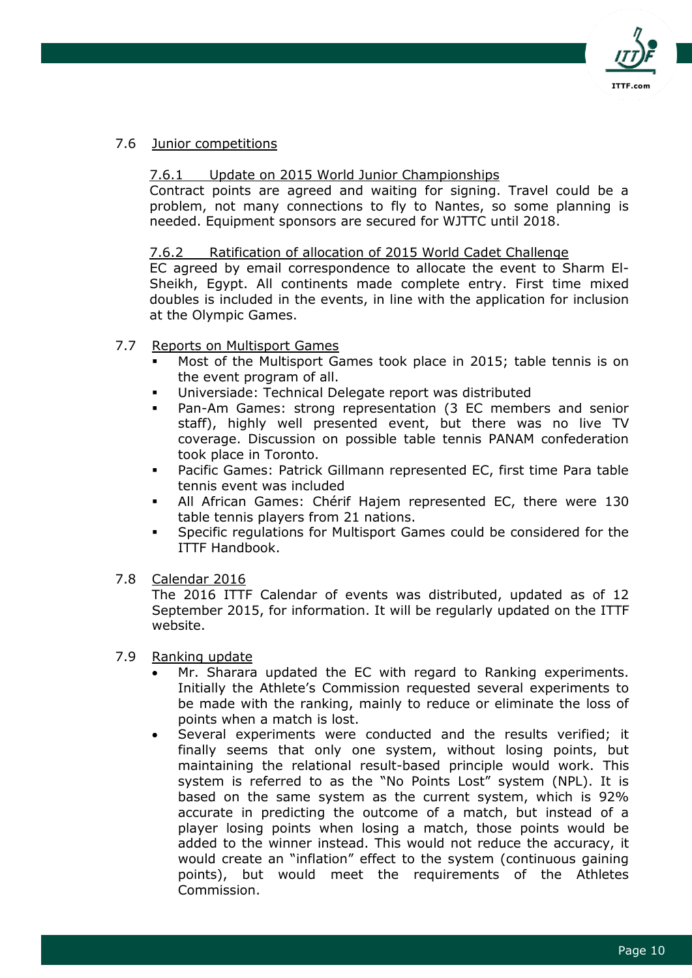

### 7.6 Junior competitions

### 7.6.1 Update on 2015 World Junior Championships

Contract points are agreed and waiting for signing. Travel could be a problem, not many connections to fly to Nantes, so some planning is needed. Equipment sponsors are secured for WJTTC until 2018.

### 7.6.2 Ratification of allocation of 2015 World Cadet Challenge

EC agreed by email correspondence to allocate the event to Sharm El-Sheikh, Egypt. All continents made complete entry. First time mixed doubles is included in the events, in line with the application for inclusion at the Olympic Games.

### 7.7 Reports on Multisport Games

- Most of the Multisport Games took place in 2015; table tennis is on the event program of all.
- Universiade: Technical Delegate report was distributed
- Pan-Am Games: strong representation (3 EC members and senior staff), highly well presented event, but there was no live TV coverage. Discussion on possible table tennis PANAM confederation took place in Toronto.
- Pacific Games: Patrick Gillmann represented EC, first time Para table tennis event was included
- All African Games: Chérif Hajem represented EC, there were 130 table tennis players from 21 nations.
- Specific regulations for Multisport Games could be considered for the ITTF Handbook.
- 7.8 Calendar 2016

The 2016 ITTF Calendar of events was distributed, updated as of 12 September 2015, for information. It will be regularly updated on the ITTF website.

#### 7.9 Ranking update

- Mr. Sharara updated the EC with regard to Ranking experiments. Initially the Athlete's Commission requested several experiments to be made with the ranking, mainly to reduce or eliminate the loss of points when a match is lost.
- Several experiments were conducted and the results verified; it finally seems that only one system, without losing points, but maintaining the relational result-based principle would work. This system is referred to as the "No Points Lost" system (NPL). It is based on the same system as the current system, which is 92% accurate in predicting the outcome of a match, but instead of a player losing points when losing a match, those points would be added to the winner instead. This would not reduce the accuracy, it would create an "inflation" effect to the system (continuous gaining points), but would meet the requirements of the Athletes Commission.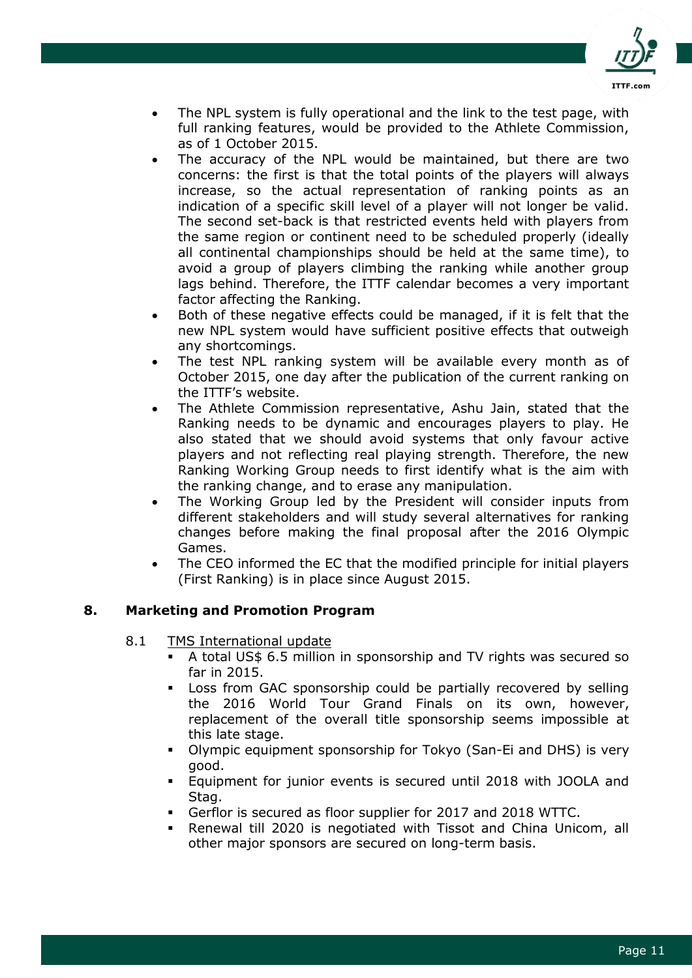

- The NPL system is fully operational and the link to the test page, with full ranking features, would be provided to the Athlete Commission, as of 1 October 2015.
- The accuracy of the NPL would be maintained, but there are two concerns: the first is that the total points of the players will always increase, so the actual representation of ranking points as an indication of a specific skill level of a player will not longer be valid. The second set-back is that restricted events held with players from the same region or continent need to be scheduled properly (ideally all continental championships should be held at the same time), to avoid a group of players climbing the ranking while another group lags behind. Therefore, the ITTF calendar becomes a very important factor affecting the Ranking.
- Both of these negative effects could be managed, if it is felt that the new NPL system would have sufficient positive effects that outweigh any shortcomings.
- The test NPL ranking system will be available every month as of October 2015, one day after the publication of the current ranking on the ITTF's website.
- The Athlete Commission representative, Ashu Jain, stated that the Ranking needs to be dynamic and encourages players to play. He also stated that we should avoid systems that only favour active players and not reflecting real playing strength. Therefore, the new Ranking Working Group needs to first identify what is the aim with the ranking change, and to erase any manipulation.
- The Working Group led by the President will consider inputs from different stakeholders and will study several alternatives for ranking changes before making the final proposal after the 2016 Olympic Games.
- The CEO informed the EC that the modified principle for initial players (First Ranking) is in place since August 2015.

# **8. Marketing and Promotion Program**

- 8.1 TMS International update
	- A total US\$ 6.5 million in sponsorship and TV rights was secured so far in 2015.
	- Loss from GAC sponsorship could be partially recovered by selling the 2016 World Tour Grand Finals on its own, however, replacement of the overall title sponsorship seems impossible at this late stage.
	- Olympic equipment sponsorship for Tokyo (San-Ei and DHS) is very good.
	- Equipment for junior events is secured until 2018 with JOOLA and Stag.
	- Gerflor is secured as floor supplier for 2017 and 2018 WTTC.
	- Renewal till 2020 is negotiated with Tissot and China Unicom, all other major sponsors are secured on long-term basis.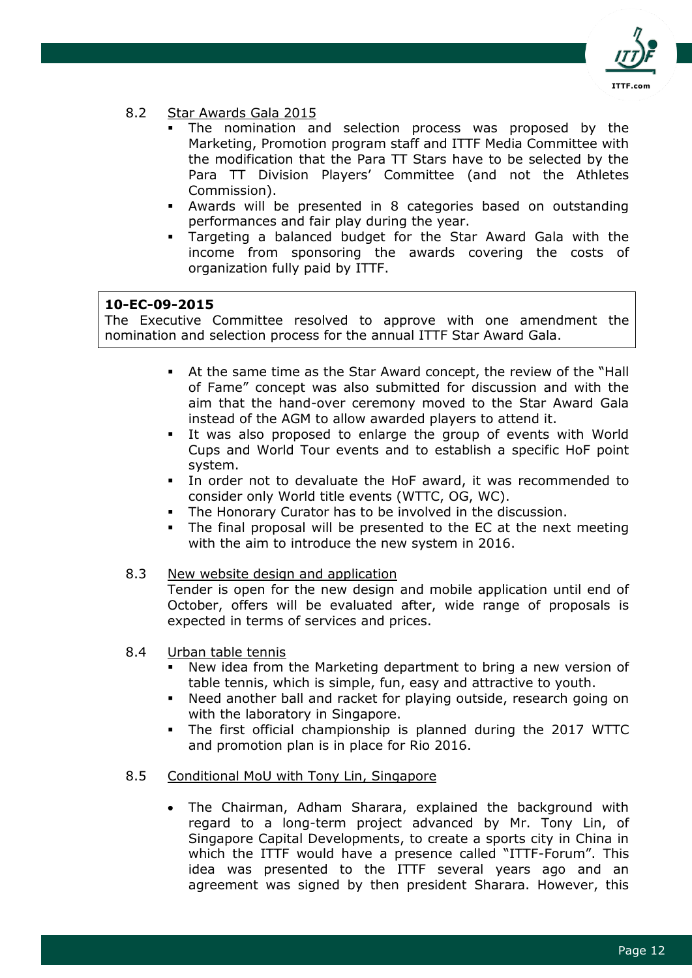

### 8.2 Star Awards Gala 2015

- The nomination and selection process was proposed by the Marketing, Promotion program staff and ITTF Media Committee with the modification that the Para TT Stars have to be selected by the Para TT Division Players' Committee (and not the Athletes Commission).
- Awards will be presented in 8 categories based on outstanding performances and fair play during the year.
- Targeting a balanced budget for the Star Award Gala with the income from sponsoring the awards covering the costs of organization fully paid by ITTF.

### **10-EC-09-2015**

The Executive Committee resolved to approve with one amendment the nomination and selection process for the annual ITTF Star Award Gala.

- At the same time as the Star Award concept, the review of the "Hall of Fame" concept was also submitted for discussion and with the aim that the hand-over ceremony moved to the Star Award Gala instead of the AGM to allow awarded players to attend it.
- It was also proposed to enlarge the group of events with World Cups and World Tour events and to establish a specific HoF point system.
- In order not to devaluate the HoF award, it was recommended to consider only World title events (WTTC, OG, WC).
- The Honorary Curator has to be involved in the discussion.
- The final proposal will be presented to the EC at the next meeting with the aim to introduce the new system in 2016.

### 8.3 New website design and application

Tender is open for the new design and mobile application until end of October, offers will be evaluated after, wide range of proposals is expected in terms of services and prices.

- 8.4 Urban table tennis
	- New idea from the Marketing department to bring a new version of table tennis, which is simple, fun, easy and attractive to youth.
	- Need another ball and racket for playing outside, research going on with the laboratory in Singapore.
	- The first official championship is planned during the 2017 WTTC and promotion plan is in place for Rio 2016.
- 8.5 Conditional MoU with Tony Lin, Singapore
	- The Chairman, Adham Sharara, explained the background with regard to a long-term project advanced by Mr. Tony Lin, of Singapore Capital Developments, to create a sports city in China in which the ITTF would have a presence called "ITTF-Forum". This idea was presented to the ITTF several years ago and an agreement was signed by then president Sharara. However, this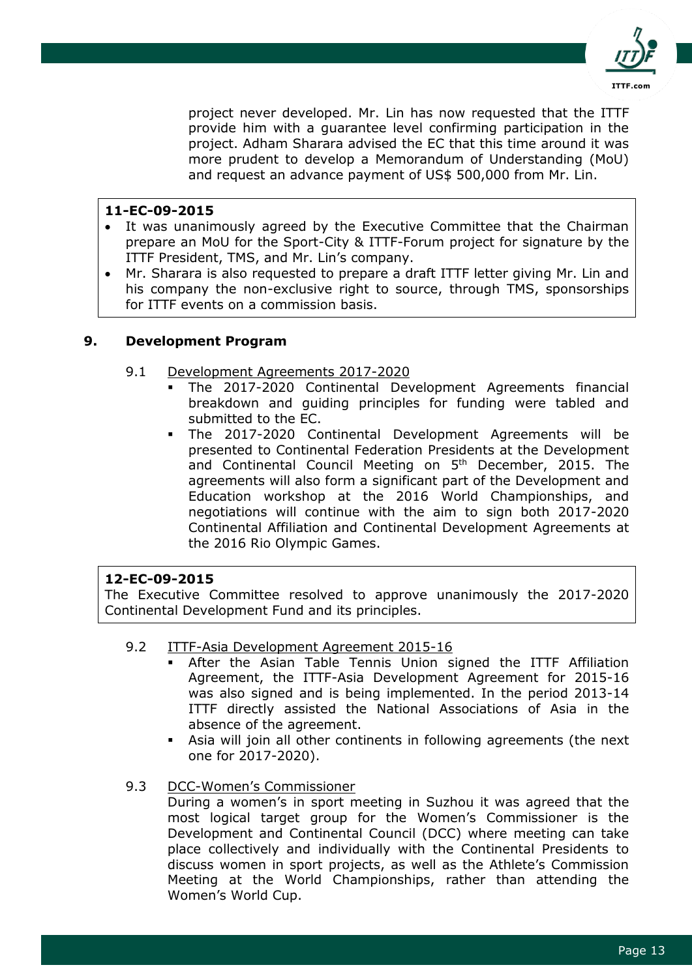

project never developed. Mr. Lin has now requested that the ITTF provide him with a guarantee level confirming participation in the project. Adham Sharara advised the EC that this time around it was more prudent to develop a Memorandum of Understanding (MoU) and request an advance payment of US\$ 500,000 from Mr. Lin.

# **11-EC-09-2015**

- It was unanimously agreed by the Executive Committee that the Chairman prepare an MoU for the Sport-City & ITTF-Forum project for signature by the ITTF President, TMS, and Mr. Lin's company.
- Mr. Sharara is also requested to prepare a draft ITTF letter giving Mr. Lin and his company the non-exclusive right to source, through TMS, sponsorships for ITTF events on a commission basis.

# **9. Development Program**

- 9.1 Development Agreements 2017-2020
	- The 2017-2020 Continental Development Agreements financial breakdown and guiding principles for funding were tabled and submitted to the EC.
	- The 2017-2020 Continental Development Agreements will be presented to Continental Federation Presidents at the Development and Continental Council Meeting on 5<sup>th</sup> December, 2015. The agreements will also form a significant part of the Development and Education workshop at the 2016 World Championships, and negotiations will continue with the aim to sign both 2017-2020 Continental Affiliation and Continental Development Agreements at the 2016 Rio Olympic Games.

# **12-EC-09-2015**

The Executive Committee resolved to approve unanimously the 2017-2020 Continental Development Fund and its principles.

- 9.2 ITTF-Asia Development Agreement 2015-16
	- After the Asian Table Tennis Union signed the ITTF Affiliation Agreement, the ITTF-Asia Development Agreement for 2015-16 was also signed and is being implemented. In the period 2013-14 ITTF directly assisted the National Associations of Asia in the absence of the agreement.
	- Asia will join all other continents in following agreements (the next one for 2017-2020).
- 9.3 DCC-Women's Commissioner

During a women's in sport meeting in Suzhou it was agreed that the most logical target group for the Women's Commissioner is the Development and Continental Council (DCC) where meeting can take place collectively and individually with the Continental Presidents to discuss women in sport projects, as well as the Athlete's Commission Meeting at the World Championships, rather than attending the Women's World Cup.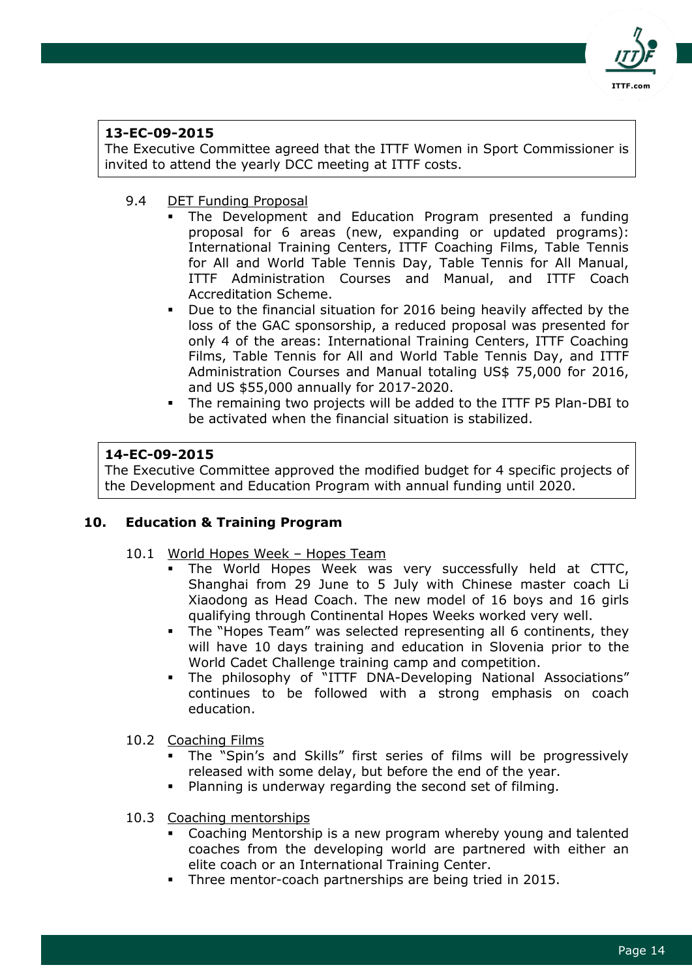

# **13-EC-09-2015**

The Executive Committee agreed that the ITTF Women in Sport Commissioner is invited to attend the yearly DCC meeting at ITTF costs.

- 9.4 DET Funding Proposal
	- The Development and Education Program presented a funding proposal for 6 areas (new, expanding or updated programs): International Training Centers, ITTF Coaching Films, Table Tennis for All and World Table Tennis Day, Table Tennis for All Manual, ITTF Administration Courses and Manual, and ITTF Coach Accreditation Scheme.
	- Due to the financial situation for 2016 being heavily affected by the loss of the GAC sponsorship, a reduced proposal was presented for only 4 of the areas: International Training Centers, ITTF Coaching Films, Table Tennis for All and World Table Tennis Day, and ITTF Administration Courses and Manual totaling US\$ 75,000 for 2016, and US \$55,000 annually for 2017-2020.
	- The remaining two projects will be added to the ITTF P5 Plan-DBI to be activated when the financial situation is stabilized.

# **14-EC-09-2015**

The Executive Committee approved the modified budget for 4 specific projects of the Development and Education Program with annual funding until 2020.

# **10. Education & Training Program**

- 10.1 World Hopes Week Hopes Team
	- The World Hopes Week was very successfully held at CTTC, Shanghai from 29 June to 5 July with Chinese master coach Li Xiaodong as Head Coach. The new model of 16 boys and 16 girls qualifying through Continental Hopes Weeks worked very well.
	- The "Hopes Team" was selected representing all 6 continents, they will have 10 days training and education in Slovenia prior to the World Cadet Challenge training camp and competition.
	- The philosophy of "ITTF DNA-Developing National Associations" continues to be followed with a strong emphasis on coach education.
- 10.2 Coaching Films
	- The "Spin's and Skills" first series of films will be progressively released with some delay, but before the end of the year.
	- Planning is underway regarding the second set of filming.
- 10.3 Coaching mentorships
	- Coaching Mentorship is a new program whereby young and talented coaches from the developing world are partnered with either an elite coach or an International Training Center.
	- Three mentor-coach partnerships are being tried in 2015.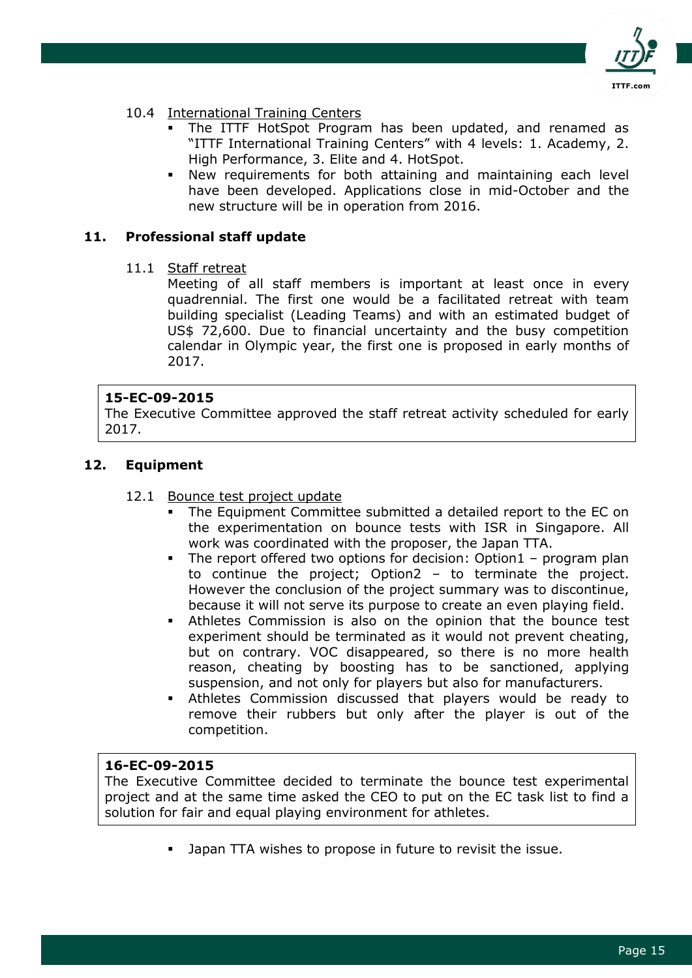

### 10.4 International Training Centers

- The ITTF HotSpot Program has been updated, and renamed as "ITTF International Training Centers" with 4 levels: 1. Academy, 2. High Performance, 3. Elite and 4. HotSpot.
- New requirements for both attaining and maintaining each level have been developed. Applications close in mid-October and the new structure will be in operation from 2016.

# **11. Professional staff update**

11.1 Staff retreat

Meeting of all staff members is important at least once in every quadrennial. The first one would be a facilitated retreat with team building specialist (Leading Teams) and with an estimated budget of US\$ 72,600. Due to financial uncertainty and the busy competition calendar in Olympic year, the first one is proposed in early months of 2017.

### **15-EC-09-2015**

The Executive Committee approved the staff retreat activity scheduled for early 2017.

### **12. Equipment**

#### 12.1 Bounce test project update

- The Equipment Committee submitted a detailed report to the EC on the experimentation on bounce tests with ISR in Singapore. All work was coordinated with the proposer, the Japan TTA.
- The report offered two options for decision: Option1 program plan to continue the project; Option2 – to terminate the project. However the conclusion of the project summary was to discontinue, because it will not serve its purpose to create an even playing field.
- Athletes Commission is also on the opinion that the bounce test experiment should be terminated as it would not prevent cheating, but on contrary. VOC disappeared, so there is no more health reason, cheating by boosting has to be sanctioned, applying suspension, and not only for players but also for manufacturers.
- Athletes Commission discussed that players would be ready to remove their rubbers but only after the player is out of the competition.

# **16-EC-09-2015**

The Executive Committee decided to terminate the bounce test experimental project and at the same time asked the CEO to put on the EC task list to find a solution for fair and equal playing environment for athletes.

Japan TTA wishes to propose in future to revisit the issue.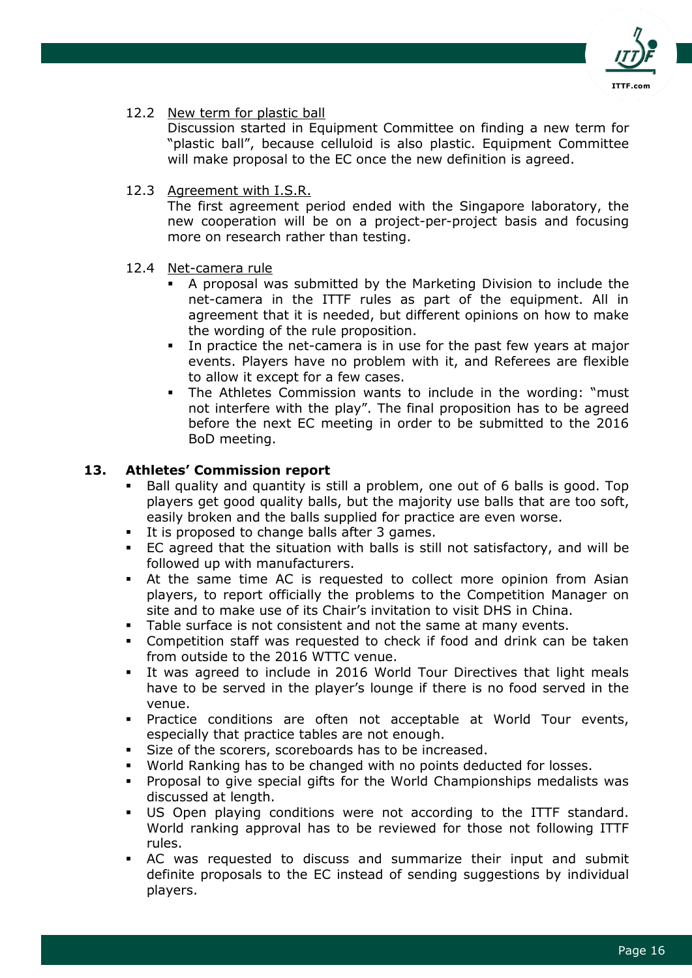

### 12.2 New term for plastic ball

Discussion started in Equipment Committee on finding a new term for "plastic ball", because celluloid is also plastic. Equipment Committee will make proposal to the EC once the new definition is agreed.

12.3 Agreement with I.S.R.

The first agreement period ended with the Singapore laboratory, the new cooperation will be on a project-per-project basis and focusing more on research rather than testing.

- 12.4 Net-camera rule
	- A proposal was submitted by the Marketing Division to include the net-camera in the ITTF rules as part of the equipment. All in agreement that it is needed, but different opinions on how to make the wording of the rule proposition.
	- In practice the net-camera is in use for the past few years at major events. Players have no problem with it, and Referees are flexible to allow it except for a few cases.
	- The Athletes Commission wants to include in the wording: "must not interfere with the play". The final proposition has to be agreed before the next EC meeting in order to be submitted to the 2016 BoD meeting.

### **13. Athletes' Commission report**

- Ball quality and quantity is still a problem, one out of 6 balls is good. Top players get good quality balls, but the majority use balls that are too soft, easily broken and the balls supplied for practice are even worse.
- It is proposed to change balls after 3 games.
- EC agreed that the situation with balls is still not satisfactory, and will be followed up with manufacturers.
- At the same time AC is requested to collect more opinion from Asian players, to report officially the problems to the Competition Manager on site and to make use of its Chair's invitation to visit DHS in China.
- Table surface is not consistent and not the same at many events.
- Competition staff was requested to check if food and drink can be taken from outside to the 2016 WTTC venue.
- It was agreed to include in 2016 World Tour Directives that light meals have to be served in the player's lounge if there is no food served in the venue.
- Practice conditions are often not acceptable at World Tour events, especially that practice tables are not enough.
- Size of the scorers, scoreboards has to be increased.
- World Ranking has to be changed with no points deducted for losses.
- Proposal to give special gifts for the World Championships medalists was discussed at length.
- US Open playing conditions were not according to the ITTF standard. World ranking approval has to be reviewed for those not following ITTF rules.
- AC was requested to discuss and summarize their input and submit definite proposals to the EC instead of sending suggestions by individual players.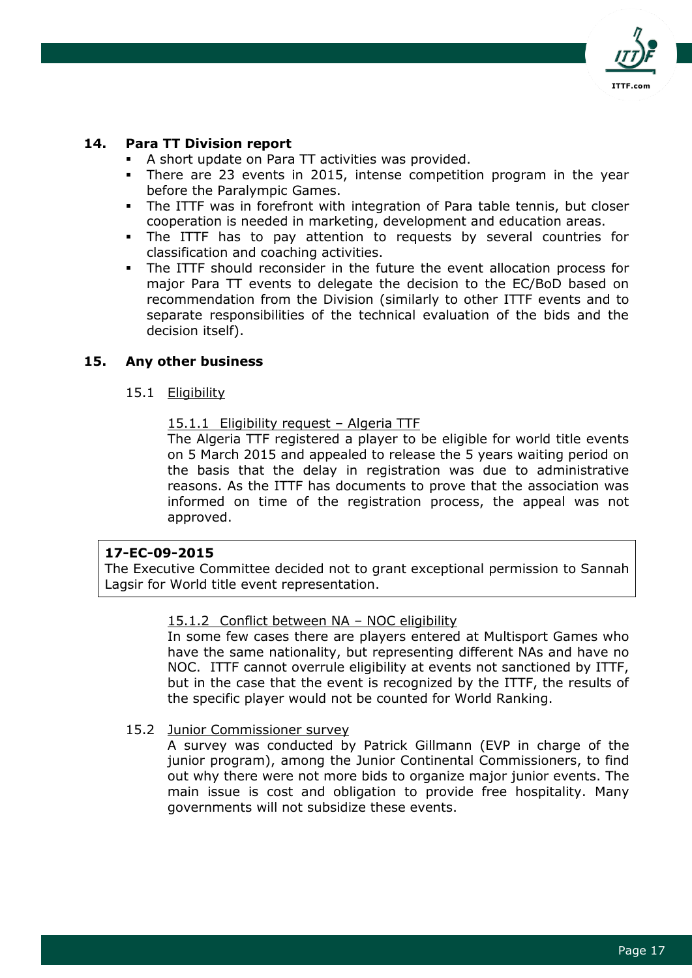

### **14. Para TT Division report**

- A short update on Para TT activities was provided.
- There are 23 events in 2015, intense competition program in the year before the Paralympic Games.
- The ITTF was in forefront with integration of Para table tennis, but closer cooperation is needed in marketing, development and education areas.
- The ITTF has to pay attention to requests by several countries for classification and coaching activities.
- The ITTF should reconsider in the future the event allocation process for major Para TT events to delegate the decision to the EC/BoD based on recommendation from the Division (similarly to other ITTF events and to separate responsibilities of the technical evaluation of the bids and the decision itself).

### **15. Any other business**

- 15.1 Eligibility
	- 15.1.1 Eligibility request Algeria TTF

The Algeria TTF registered a player to be eligible for world title events on 5 March 2015 and appealed to release the 5 years waiting period on the basis that the delay in registration was due to administrative reasons. As the ITTF has documents to prove that the association was informed on time of the registration process, the appeal was not approved.

#### **17-EC-09-2015**

The Executive Committee decided not to grant exceptional permission to Sannah Lagsir for World title event representation.

#### 15.1.2 Conflict between NA – NOC eligibility

In some few cases there are players entered at Multisport Games who have the same nationality, but representing different NAs and have no NOC. ITTF cannot overrule eligibility at events not sanctioned by ITTF, but in the case that the event is recognized by the ITTF, the results of the specific player would not be counted for World Ranking.

15.2 Junior Commissioner survey

A survey was conducted by Patrick Gillmann (EVP in charge of the junior program), among the Junior Continental Commissioners, to find out why there were not more bids to organize major junior events. The main issue is cost and obligation to provide free hospitality. Many governments will not subsidize these events.